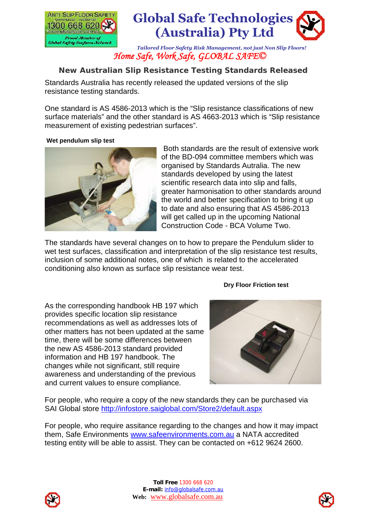



*Tailored Floor Safety Risk Management, not just Non Slip Floors! Home Safe, Work Safe, GLOBAL SAFE©*

## **New Australian Slip Resistance Testing Standards Released**

Standards Australia has recently released the updated versions of the slip resistance testing standards.

One standard is AS 4586-2013 which is the "Slip resistance classifications of new surface materials" and the other standard is AS 4663-2013 which is "Slip resistance measurement of existing pedestrian surfaces".

## **Wet pendulum slip test**



Both standards are the result of extensive work of the BD-094 committee members which was organised by Standards Autralia. The new standards developed by using the latest scientific research data into slip and falls, greater harmonisation to other standards around the world and better specification to bring it up to date and also ensuring that AS 4586-2013 will get called up in the upcoming National Construction Code - BCA Volume Two.

The standards have several changes on to how to prepare the Pendulum slider to wet test surfaces, classification and interpretation of the slip resistance test results, inclusion of some additional notes, one of which is related to the accelerated conditioning also known as surface slip resistance wear test.

## **Dry Floor Friction test**

As the corresponding handbook HB 197 which provides specific location slip resistance recommendations as well as addresses lots of other matters has not been updated at the same time, there will be some differences between the new AS 4586-2013 standard provided information and HB 197 handbook. The changes while not significant, still require awareness and understanding of the previous and current values to ensure compliance.



For people, who require a copy of the new standards they can be purchased via SAI Global store http://infostore.saiglobal.com/Store2/default.aspx

For people, who require assitance regarding to the changes and how it may impact them, Safe Environments www.safeenvironments.com.au a NATA accredited testing entity will be able to assist. They can be contacted on +612 9624 2600.